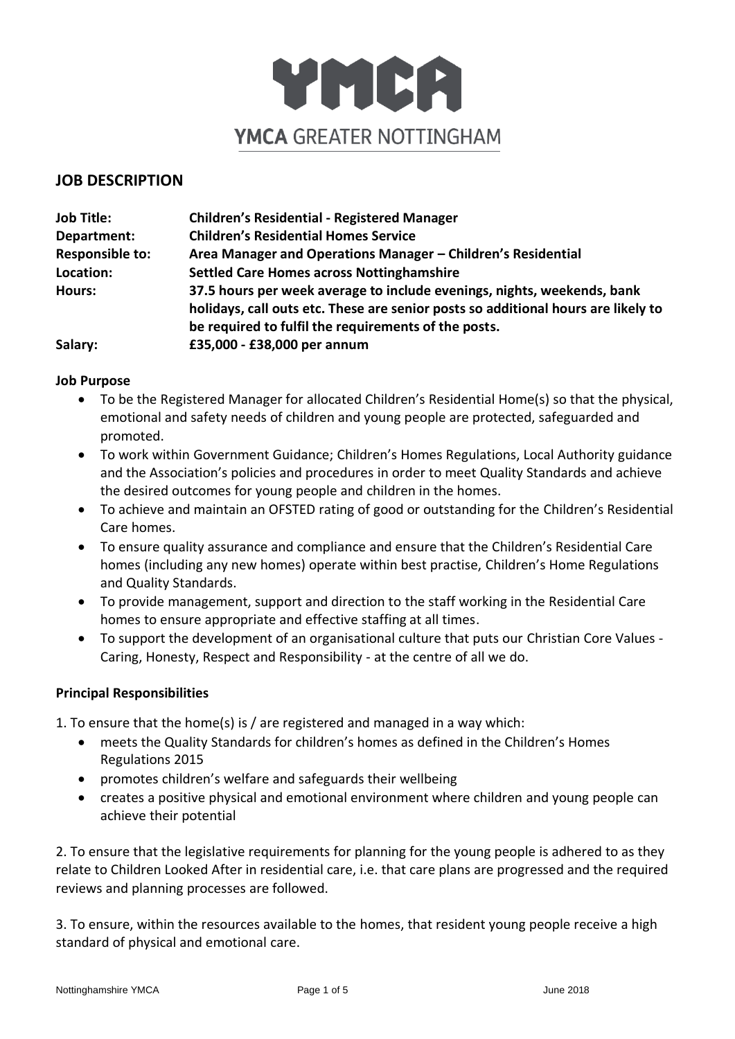

# **JOB DESCRIPTION**

| <b>Job Title:</b>      | <b>Children's Residential - Registered Manager</b>                                                                                                           |
|------------------------|--------------------------------------------------------------------------------------------------------------------------------------------------------------|
| Department:            | <b>Children's Residential Homes Service</b>                                                                                                                  |
| <b>Responsible to:</b> | Area Manager and Operations Manager - Children's Residential                                                                                                 |
| Location:              | <b>Settled Care Homes across Nottinghamshire</b>                                                                                                             |
| <b>Hours:</b>          | 37.5 hours per week average to include evenings, nights, weekends, bank<br>holidays, call outs etc. These are senior posts so additional hours are likely to |
|                        | be required to fulfil the requirements of the posts.                                                                                                         |
| Salary:                | £35,000 - £38,000 per annum                                                                                                                                  |

### **Job Purpose**

- To be the Registered Manager for allocated Children's Residential Home(s) so that the physical, emotional and safety needs of children and young people are protected, safeguarded and promoted.
- To work within Government Guidance; Children's Homes Regulations, Local Authority guidance and the Association's policies and procedures in order to meet Quality Standards and achieve the desired outcomes for young people and children in the homes.
- To achieve and maintain an OFSTED rating of good or outstanding for the Children's Residential Care homes.
- To ensure quality assurance and compliance and ensure that the Children's Residential Care homes (including any new homes) operate within best practise, Children's Home Regulations and Quality Standards.
- To provide management, support and direction to the staff working in the Residential Care homes to ensure appropriate and effective staffing at all times.
- To support the development of an organisational culture that puts our Christian Core Values Caring, Honesty, Respect and Responsibility - at the centre of all we do.

### **Principal Responsibilities**

1. To ensure that the home(s) is / are registered and managed in a way which:

- meets the Quality Standards for children's homes as defined in the Children's Homes Regulations 2015
- promotes children's welfare and safeguards their wellbeing
- creates a positive physical and emotional environment where children and young people can achieve their potential

2. To ensure that the legislative requirements for planning for the young people is adhered to as they relate to Children Looked After in residential care, i.e. that care plans are progressed and the required reviews and planning processes are followed.

3. To ensure, within the resources available to the homes, that resident young people receive a high standard of physical and emotional care.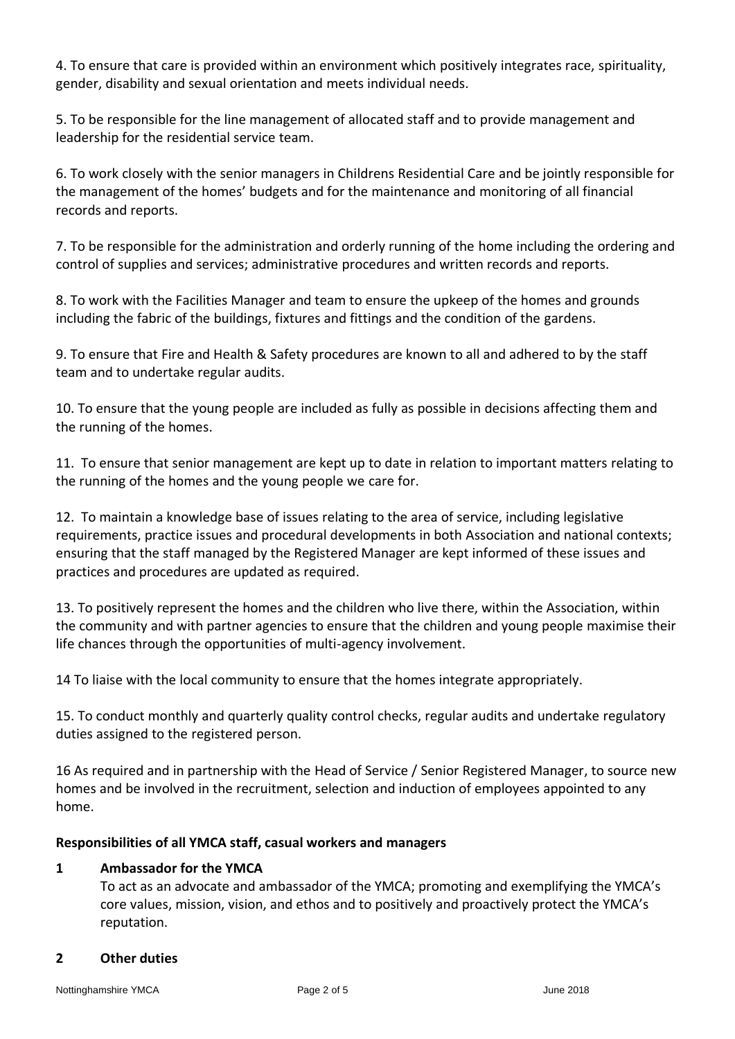4. To ensure that care is provided within an environment which positively integrates race, spirituality, gender, disability and sexual orientation and meets individual needs.

5. To be responsible for the line management of allocated staff and to provide management and leadership for the residential service team.

6. To work closely with the senior managers in Childrens Residential Care and be jointly responsible for the management of the homes' budgets and for the maintenance and monitoring of all financial records and reports.

7. To be responsible for the administration and orderly running of the home including the ordering and control of supplies and services; administrative procedures and written records and reports.

8. To work with the Facilities Manager and team to ensure the upkeep of the homes and grounds including the fabric of the buildings, fixtures and fittings and the condition of the gardens.

9. To ensure that Fire and Health & Safety procedures are known to all and adhered to by the staff team and to undertake regular audits.

10. To ensure that the young people are included as fully as possible in decisions affecting them and the running of the homes.

11. To ensure that senior management are kept up to date in relation to important matters relating to the running of the homes and the young people we care for.

12. To maintain a knowledge base of issues relating to the area of service, including legislative requirements, practice issues and procedural developments in both Association and national contexts; ensuring that the staff managed by the Registered Manager are kept informed of these issues and practices and procedures are updated as required.

13. To positively represent the homes and the children who live there, within the Association, within the community and with partner agencies to ensure that the children and young people maximise their life chances through the opportunities of multi-agency involvement.

14 To liaise with the local community to ensure that the homes integrate appropriately.

15. To conduct monthly and quarterly quality control checks, regular audits and undertake regulatory duties assigned to the registered person.

16 As required and in partnership with the Head of Service / Senior Registered Manager, to source new homes and be involved in the recruitment, selection and induction of employees appointed to any home.

# **Responsibilities of all YMCA staff, casual workers and managers**

# **1 Ambassador for the YMCA**

To act as an advocate and ambassador of the YMCA; promoting and exemplifying the YMCA's core values, mission, vision, and ethos and to positively and proactively protect the YMCA's reputation.

### **2 Other duties**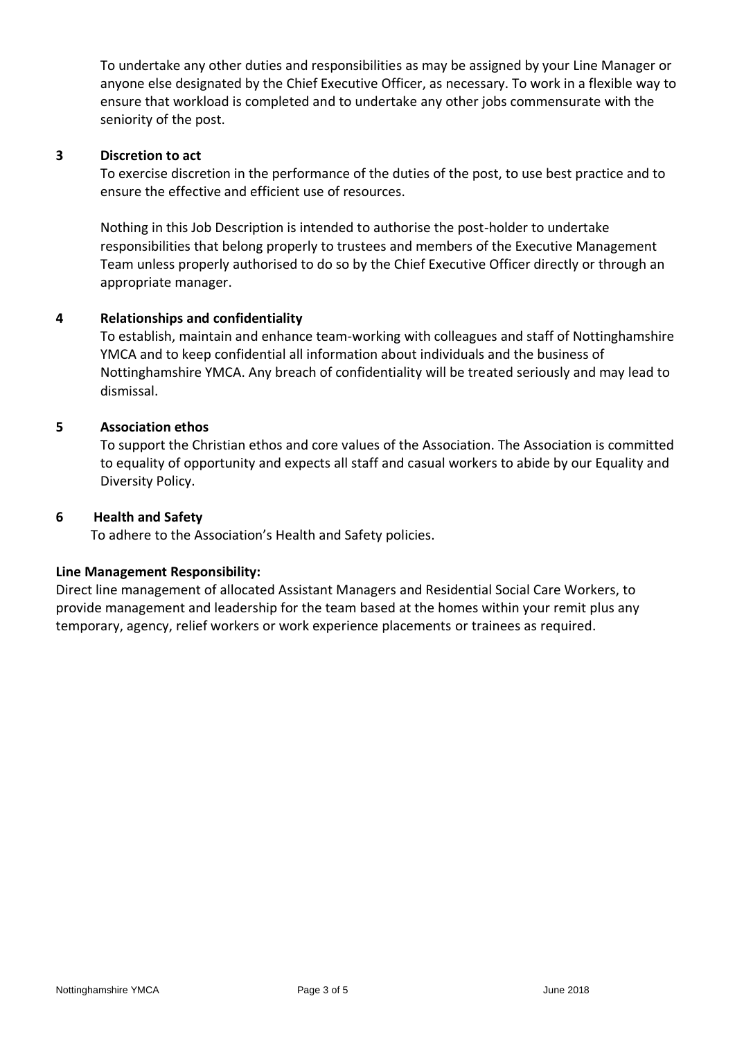To undertake any other duties and responsibilities as may be assigned by your Line Manager or anyone else designated by the Chief Executive Officer, as necessary. To work in a flexible way to ensure that workload is completed and to undertake any other jobs commensurate with the seniority of the post.

### **3 Discretion to act**

To exercise discretion in the performance of the duties of the post, to use best practice and to ensure the effective and efficient use of resources.

Nothing in this Job Description is intended to authorise the post-holder to undertake responsibilities that belong properly to trustees and members of the Executive Management Team unless properly authorised to do so by the Chief Executive Officer directly or through an appropriate manager.

### **4 Relationships and confidentiality**

To establish, maintain and enhance team-working with colleagues and staff of Nottinghamshire YMCA and to keep confidential all information about individuals and the business of Nottinghamshire YMCA. Any breach of confidentiality will be treated seriously and may lead to dismissal.

### **5 Association ethos**

To support the Christian ethos and core values of the Association. The Association is committed to equality of opportunity and expects all staff and casual workers to abide by our Equality and Diversity Policy.

#### **6 Health and Safety**

To adhere to the Association's Health and Safety policies.

### **Line Management Responsibility:**

Direct line management of allocated Assistant Managers and Residential Social Care Workers, to provide management and leadership for the team based at the homes within your remit plus any temporary, agency, relief workers or work experience placements or trainees as required.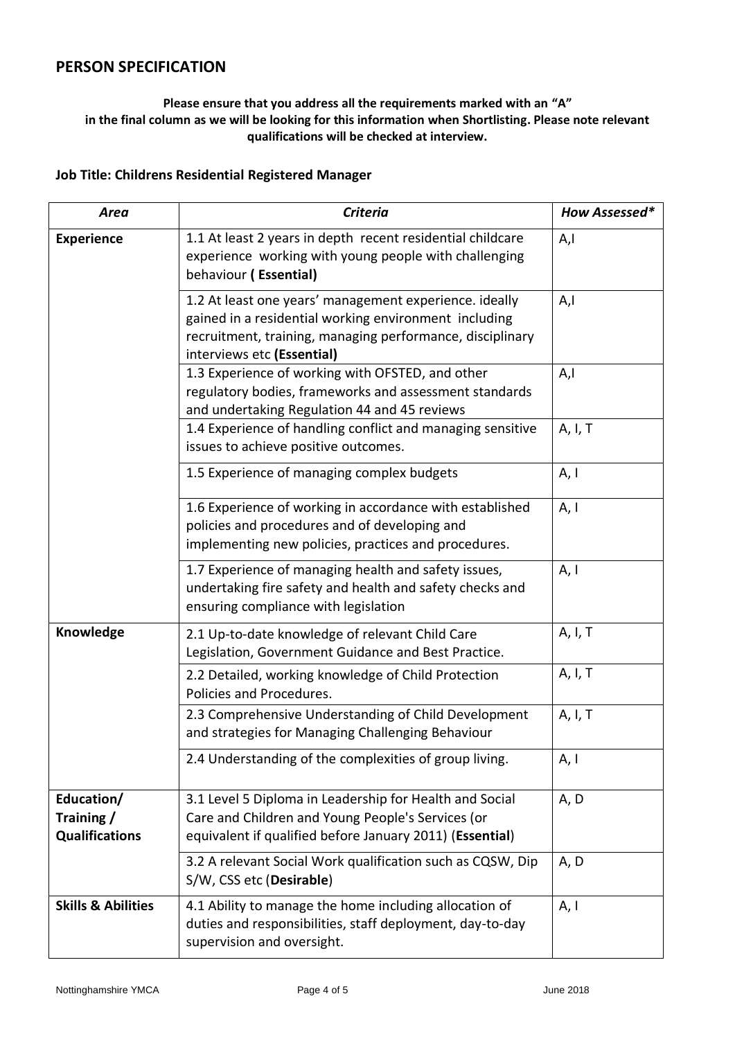# **PERSON SPECIFICATION**

### **Please ensure that you address all the requirements marked with an "A" in the final column as we will be looking for this information when Shortlisting. Please note relevant qualifications will be checked at interview.**

#### **Job Title: Childrens Residential Registered Manager**

| Area                                              | <b>Criteria</b>                                                                                                                                                                                            | How Assessed* |
|---------------------------------------------------|------------------------------------------------------------------------------------------------------------------------------------------------------------------------------------------------------------|---------------|
| <b>Experience</b>                                 | 1.1 At least 2 years in depth recent residential childcare<br>experience working with young people with challenging<br>behaviour (Essential)                                                               | A,I           |
|                                                   | 1.2 At least one years' management experience. ideally<br>gained in a residential working environment including<br>recruitment, training, managing performance, disciplinary<br>interviews etc (Essential) | A,I           |
|                                                   | 1.3 Experience of working with OFSTED, and other<br>regulatory bodies, frameworks and assessment standards<br>and undertaking Regulation 44 and 45 reviews                                                 | A,I           |
|                                                   | 1.4 Experience of handling conflict and managing sensitive<br>issues to achieve positive outcomes.                                                                                                         | A, I, T       |
|                                                   | 1.5 Experience of managing complex budgets                                                                                                                                                                 | A, I          |
|                                                   | 1.6 Experience of working in accordance with established<br>policies and procedures and of developing and<br>implementing new policies, practices and procedures.                                          | A, I          |
|                                                   | 1.7 Experience of managing health and safety issues,<br>undertaking fire safety and health and safety checks and<br>ensuring compliance with legislation                                                   | A, I          |
| Knowledge                                         | 2.1 Up-to-date knowledge of relevant Child Care<br>Legislation, Government Guidance and Best Practice.                                                                                                     | A, I, T       |
|                                                   | 2.2 Detailed, working knowledge of Child Protection<br>Policies and Procedures.                                                                                                                            | A, I, T       |
|                                                   | 2.3 Comprehensive Understanding of Child Development<br>and strategies for Managing Challenging Behaviour                                                                                                  | A, I, T       |
|                                                   | 2.4 Understanding of the complexities of group living.                                                                                                                                                     | A, I          |
| Education/<br>Training /<br><b>Qualifications</b> | 3.1 Level 5 Diploma in Leadership for Health and Social<br>Care and Children and Young People's Services (or<br>equivalent if qualified before January 2011) (Essential)                                   | A, D          |
|                                                   | 3.2 A relevant Social Work qualification such as CQSW, Dip<br>S/W, CSS etc (Desirable)                                                                                                                     | A, D          |
| <b>Skills &amp; Abilities</b>                     | 4.1 Ability to manage the home including allocation of<br>duties and responsibilities, staff deployment, day-to-day<br>supervision and oversight.                                                          | A, I          |